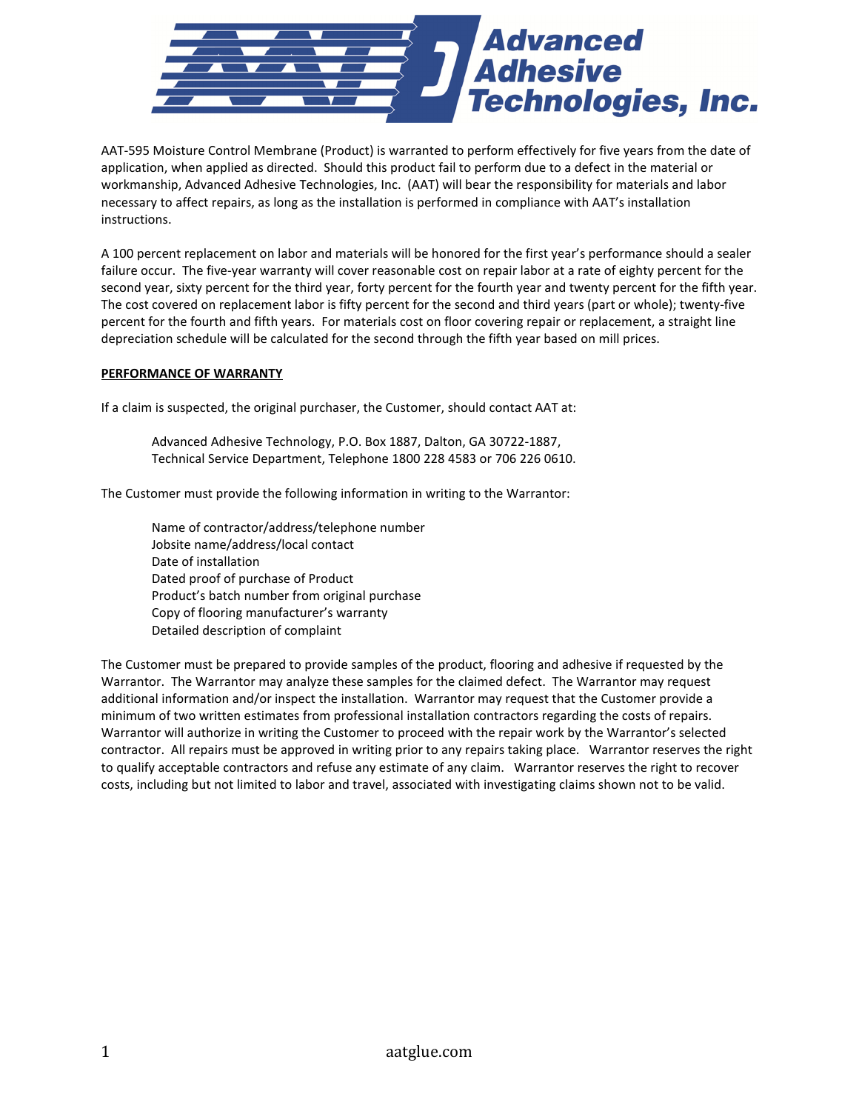

AAT-595 Moisture Control Membrane (Product) is warranted to perform effectively for five years from the date of application, when applied as directed. Should this product fail to perform due to a defect in the material or workmanship, Advanced Adhesive Technologies, Inc. (AAT) will bear the responsibility for materials and labor necessary to affect repairs, as long as the installation is performed in compliance with AAT's installation instructions.

A 100 percent replacement on labor and materials will be honored for the first year's performance should a sealer failure occur. The five-year warranty will cover reasonable cost on repair labor at a rate of eighty percent for the second year, sixty percent for the third year, forty percent for the fourth year and twenty percent for the fifth year. The cost covered on replacement labor is fifty percent for the second and third years (part or whole); twenty-five percent for the fourth and fifth years. For materials cost on floor covering repair or replacement, a straight line depreciation schedule will be calculated for the second through the fifth year based on mill prices.

## PERFORMANCE OF WARRANTY

If a claim is suspected, the original purchaser, the Customer, should contact AAT at:

 Advanced Adhesive Technology, P.O. Box 1887, Dalton, GA 30722-1887, Technical Service Department, Telephone 1800 228 4583 or 706 226 0610.

The Customer must provide the following information in writing to the Warrantor:

 Name of contractor/address/telephone number Jobsite name/address/local contact Date of installation Dated proof of purchase of Product Product's batch number from original purchase Copy of flooring manufacturer's warranty Detailed description of complaint

The Customer must be prepared to provide samples of the product, flooring and adhesive if requested by the Warrantor. The Warrantor may analyze these samples for the claimed defect. The Warrantor may request additional information and/or inspect the installation. Warrantor may request that the Customer provide a minimum of two written estimates from professional installation contractors regarding the costs of repairs. Warrantor will authorize in writing the Customer to proceed with the repair work by the Warrantor's selected contractor. All repairs must be approved in writing prior to any repairs taking place. Warrantor reserves the right to qualify acceptable contractors and refuse any estimate of any claim. Warrantor reserves the right to recover costs, including but not limited to labor and travel, associated with investigating claims shown not to be valid.